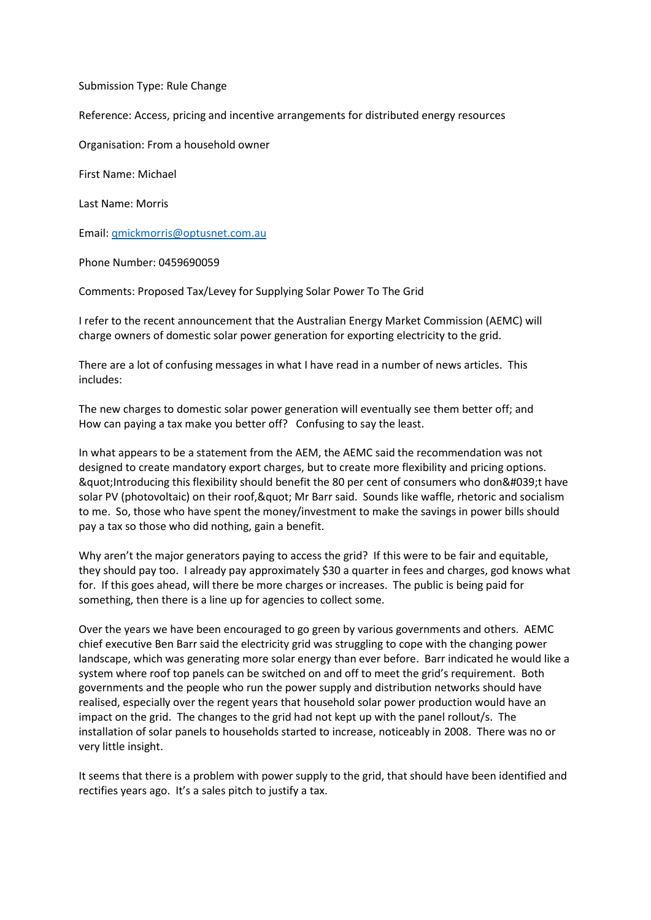Submission Type: Rule Change

Reference: Access, pricing and incentive arrangements for distributed energy resources

Organisation: From a household owner

First Name: Michael

Last Name: Morris

Email: [qmickmorris@optusnet.com.au](mailto:qmickmorris@optusnet.com.au)

Phone Number: 0459690059

Comments: Proposed Tax/Levey for Supplying Solar Power To The Grid

I refer to the recent announcement that the Australian Energy Market Commission (AEMC) will charge owners of domestic solar power generation for exporting electricity to the grid.

There are a lot of confusing messages in what I have read in a number of news articles. This includes:

The new charges to domestic solar power generation will eventually see them better off; and How can paying a tax make you better off? Confusing to say the least.

In what appears to be a statement from the AEM, the AEMC said the recommendation was not designed to create mandatory export charges, but to create more flexibility and pricing options. " Introducing this flexibility should benefit the 80 per cent of consumers who don' t have solar PV (photovoltaic) on their roof, & quot; Mr Barr said. Sounds like waffle, rhetoric and socialism to me. So, those who have spent the money/investment to make the savings in power bills should pay a tax so those who did nothing, gain a benefit.

Why aren't the major generators paying to access the grid? If this were to be fair and equitable, they should pay too. I already pay approximately \$30 a quarter in fees and charges, god knows what for. If this goes ahead, will there be more charges or increases. The public is being paid for something, then there is a line up for agencies to collect some.

Over the years we have been encouraged to go green by various governments and others. AEMC chief executive Ben Barr said the electricity grid was struggling to cope with the changing power landscape, which was generating more solar energy than ever before. Barr indicated he would like a system where roof top panels can be switched on and off to meet the grid's requirement. Both governments and the people who run the power supply and distribution networks should have realised, especially over the regent years that household solar power production would have an impact on the grid. The changes to the grid had not kept up with the panel rollout/s. The installation of solar panels to households started to increase, noticeably in 2008. There was no or very little insight.

It seems that there is a problem with power supply to the grid, that should have been identified and rectifies years ago. It's a sales pitch to justify a tax.